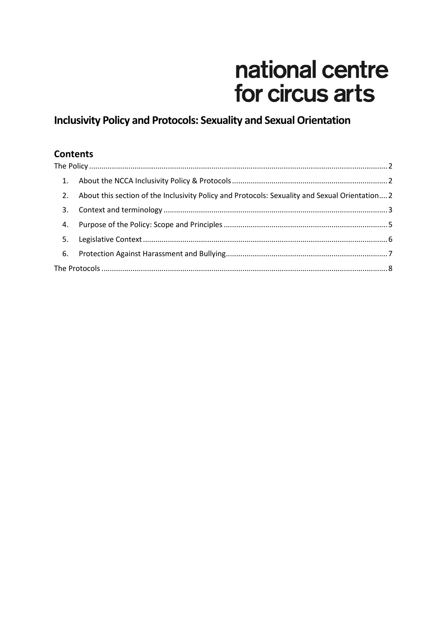# national centre for circus arts

# **Inclusivity Policy and Protocols: Sexuality and Sexual Orientation**

#### **Contents**

<span id="page-0-0"></span>

|    | 2. About this section of the Inclusivity Policy and Protocols: Sexuality and Sexual Orientation 2 |  |  |  |  |  |
|----|---------------------------------------------------------------------------------------------------|--|--|--|--|--|
| 3. |                                                                                                   |  |  |  |  |  |
| 4. |                                                                                                   |  |  |  |  |  |
| 5. |                                                                                                   |  |  |  |  |  |
|    |                                                                                                   |  |  |  |  |  |
|    |                                                                                                   |  |  |  |  |  |
|    |                                                                                                   |  |  |  |  |  |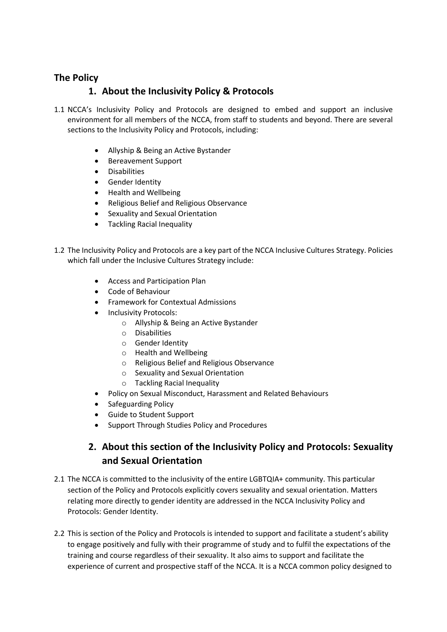#### <span id="page-1-0"></span>**The Policy**

#### **1. About the Inclusivity Policy & Protocols**

- 1.1 NCCA's Inclusivity Policy and Protocols are designed to embed and support an inclusive environment for all members of the NCCA, from staff to students and beyond. There are several sections to the Inclusivity Policy and Protocols, including:
	- Allyship & Being an Active Bystander
	- Bereavement Support
	- Disabilities
	- **•** Gender Identity
	- Health and Wellbeing
	- Religious Belief and Religious Observance
	- Sexuality and Sexual Orientation
	- Tackling Racial Inequality
- 1.2 The Inclusivity Policy and Protocols are a key part of the NCCA Inclusive Cultures Strategy. Policies which fall under the Inclusive Cultures Strategy include:
	- Access and Participation Plan
	- Code of Behaviour
	- **•** Framework for Contextual Admissions
	- Inclusivity Protocols:
		- o Allyship & Being an Active Bystander
		- o Disabilities
		- o Gender Identity
		- o Health and Wellbeing
		- o Religious Belief and Religious Observance
		- o Sexuality and Sexual Orientation
		- o Tackling Racial Inequality
	- Policy on Sexual Misconduct, Harassment and Related Behaviours
	- Safeguarding Policy
	- Guide to Student Support
	- Support Through Studies Policy and Procedures

## **2. About this section of the Inclusivity Policy and Protocols: Sexuality and Sexual Orientation**

- <span id="page-1-1"></span>2.1 The NCCA is committed to the inclusivity of the entire LGBTQIA+ community. This particular section of the Policy and Protocols explicitly covers sexuality and sexual orientation. Matters relating more directly to gender identity are addressed in the NCCA Inclusivity Policy and Protocols: Gender Identity.
- 2.2 This is section of the Policy and Protocols is intended to support and facilitate a student's ability to engage positively and fully with their programme of study and to fulfil the expectations of the training and course regardless of their sexuality. It also aims to support and facilitate the experience of current and prospective staff of the NCCA. It is a NCCA common policy designed to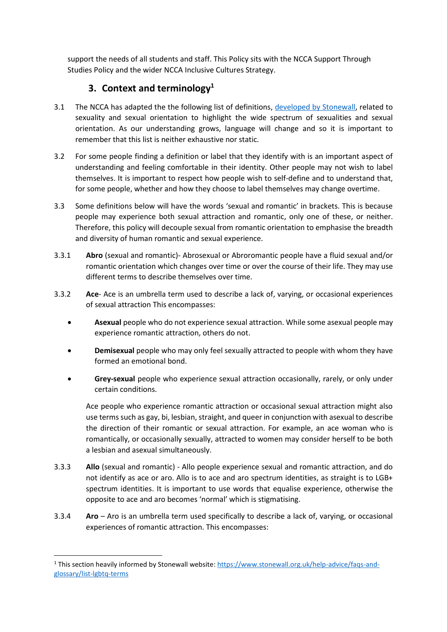support the needs of all students and staff. This Policy sits with the NCCA Support Through Studies Policy and the wider NCCA Inclusive Cultures Strategy.

#### **3. Context and terminology<sup>1</sup>**

- <span id="page-2-0"></span>3.1 The NCCA has adapted the the following list of definitions, [developed by Stonewall,](https://www.stonewall.org.uk/help-advice/faqs-and-glossary/list-lgbtq-terms) related to sexuality and sexual orientation to highlight the wide spectrum of sexualities and sexual orientation. As our understanding grows, language will change and so it is important to remember that this list is neither exhaustive nor static.
- 3.2 For some people finding a definition or label that they identify with is an important aspect of understanding and feeling comfortable in their identity. Other people may not wish to label themselves. It is important to respect how people wish to self-define and to understand that, for some people, whether and how they choose to label themselves may change overtime.
- 3.3 Some definitions below will have the words 'sexual and romantic' in brackets. This is because people may experience both sexual attraction and romantic, only one of these, or neither. Therefore, this policy will decouple sexual from romantic orientation to emphasise the breadth and diversity of human romantic and sexual experience.
- 3.3.1 **Abro** (sexual and romantic)- Abrosexual or Abroromantic people have a fluid sexual and/or romantic orientation which changes over time or over the course of their life. They may use different terms to describe themselves over time.
- 3.3.2 **Ace** Ace is an umbrella term used to describe a lack of, varying, or occasional experiences of sexual attraction This encompasses:
	- **Asexual** people who do not experience sexual attraction. While some asexual people may experience romantic attraction, others do not.
	- **Demisexual** people who may only feel sexually attracted to people with whom they have formed an emotional bond.
	- **Grey-sexual** people who experience sexual attraction occasionally, rarely, or only under certain conditions.

Ace people who experience romantic attraction or occasional sexual attraction might also use terms such as gay, bi, lesbian, straight, and queer in conjunction with asexual to describe the direction of their romantic or sexual attraction. For example, an ace woman who is romantically, or occasionally sexually, attracted to women may consider herself to be both a lesbian and asexual simultaneously.

- 3.3.3 **Allo** (sexual and romantic) Allo people experience sexual and romantic attraction, and do not identify as ace or aro. Allo is to ace and aro spectrum identities, as straight is to LGB+ spectrum identities. It is important to use words that equalise experience, otherwise the opposite to ace and aro becomes 'normal' which is stigmatising.
- 3.3.4 **Aro** Aro is an umbrella term used specifically to describe a lack of, varying, or occasional experiences of romantic attraction. This encompasses:

 $\overline{a}$ 

<sup>1</sup> This section heavily informed by Stonewall website: [https://www.stonewall.org.uk/help-advice/faqs-and](https://www.stonewall.org.uk/help-advice/faqs-and-glossary/list-lgbtq-terms)[glossary/list-lgbtq-terms](https://www.stonewall.org.uk/help-advice/faqs-and-glossary/list-lgbtq-terms)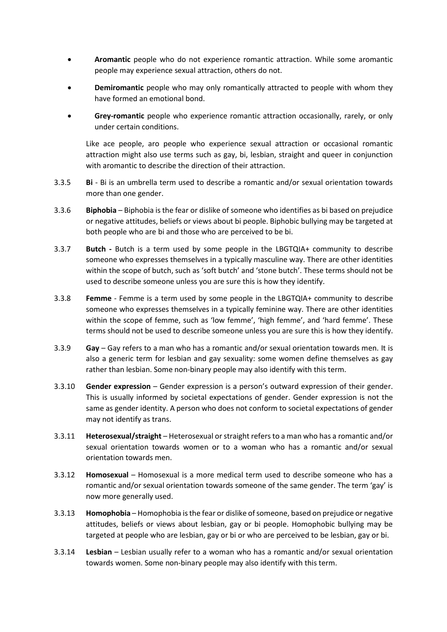- **Aromantic** people who do not experience romantic attraction. While some aromantic people may experience sexual attraction, others do not.
- **Demiromantic** people who may only romantically attracted to people with whom they have formed an emotional bond.
- **Grey-romantic** people who experience romantic attraction occasionally, rarely, or only under certain conditions.

Like ace people, aro people who experience sexual attraction or occasional romantic attraction might also use terms such as gay, bi, lesbian, straight and queer in conjunction with aromantic to describe the direction of their attraction.

- 3.3.5 **Bi**  Bi is an umbrella term used to describe a romantic and/or sexual orientation towards more than one gender.
- 3.3.6 **Biphobia** Biphobia is the fear or dislike of someone who identifies as bi based on prejudice or negative attitudes, beliefs or views about bi people. Biphobic bullying may be targeted at both people who are bi and those who are perceived to be bi.
- 3.3.7 **Butch -** Butch is a term used by some people in the LBGTQIA+ community to describe someone who expresses themselves in a typically masculine way. There are other identities within the scope of butch, such as 'soft butch' and 'stone butch'. These terms should not be used to describe someone unless you are sure this is how they identify.
- 3.3.8 **Femme**  Femme is a term used by some people in the LBGTQIA+ community to describe someone who expresses themselves in a typically feminine way. There are other identities within the scope of femme, such as 'low femme', 'high femme', and 'hard femme'. These terms should not be used to describe someone unless you are sure this is how they identify.
- 3.3.9 **Gay** Gay refers to a man who has a romantic and/or sexual orientation towards men. It is also a generic term for lesbian and gay sexuality: some women define themselves as gay rather than lesbian. Some non-binary people may also identify with this term.
- 3.3.10 **Gender expression** Gender expression is a person's outward expression of their gender. This is usually informed by societal expectations of gender. Gender expression is not the same as gender identity. A person who does not conform to societal expectations of gender may not identify as trans.
- 3.3.11 **Heterosexual/straight** Heterosexual or straight refers to a man who has a romantic and/or sexual orientation towards women or to a woman who has a romantic and/or sexual orientation towards men.
- 3.3.12 **Homosexual** Homosexual is a more medical term used to describe someone who has a romantic and/or sexual orientation towards someone of the same gender. The term 'gay' is now more generally used.
- 3.3.13 **Homophobia** Homophobia is the fear or dislike of someone, based on prejudice or negative attitudes, beliefs or views about lesbian, gay or bi people. Homophobic bullying may be targeted at people who are lesbian, gay or bi or who are perceived to be lesbian, gay or bi.
- 3.3.14 **Lesbian** Lesbian usually refer to a woman who has a romantic and/or sexual orientation towards women. Some non-binary people may also identify with this term.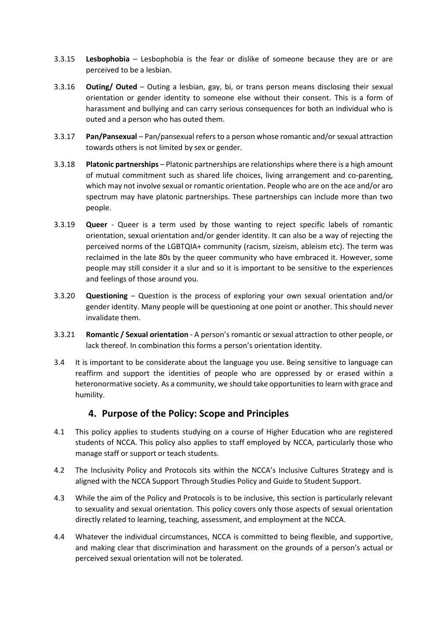- 3.3.15 **Lesbophobia** Lesbophobia is the fear or dislike of someone because they are or are perceived to be a lesbian.
- 3.3.16 **Outing/ Outed** Outing a lesbian, gay, bi, or trans person means disclosing their sexual orientation or gender identity to someone else without their consent. This is a form of harassment and bullying and can carry serious consequences for both an individual who is outed and a person who has outed them.
- 3.3.17 **Pan/Pansexual**  Pan/pansexual refers to a person whose romantic and/or sexual attraction towards others is not limited by sex or gender.
- 3.3.18 **Platonic partnerships** Platonic partnerships are relationships where there is a high amount of mutual commitment such as shared life choices, living arrangement and co-parenting, which may not involve sexual or romantic orientation. People who are on the ace and/or aro spectrum may have platonic partnerships. These partnerships can include more than two people.
- 3.3.19 **Queer** Queer is a term used by those wanting to reject specific labels of romantic orientation, sexual orientation and/or gender identity. It can also be a way of rejecting the perceived norms of the LGBTQIA+ community (racism, sizeism, ableism etc). The term was reclaimed in the late 80s by the queer community who have embraced it. However, some people may still consider it a slur and so it is important to be sensitive to the experiences and feelings of those around you.
- 3.3.20 **Questioning**  Question is the process of exploring your own sexual orientation and/or gender identity. Many people will be questioning at one point or another. This should never invalidate them.
- 3.3.21 **Romantic / Sexual orientation** A person's romantic or sexual attraction to other people, or lack thereof. In combination this forms a person's orientation identity.
- 3.4 It is important to be considerate about the language you use. Being sensitive to language can reaffirm and support the identities of people who are oppressed by or erased within a heteronormative society. As a community, we should take opportunities to learn with grace and humility.

#### **4. Purpose of the Policy: Scope and Principles**

- <span id="page-4-0"></span>4.1 This policy applies to students studying on a course of Higher Education who are registered students of NCCA. This policy also applies to staff employed by NCCA, particularly those who manage staff or support or teach students.
- 4.2 The Inclusivity Policy and Protocols sits within the NCCA's Inclusive Cultures Strategy and is aligned with the NCCA Support Through Studies Policy and Guide to Student Support.
- 4.3 While the aim of the Policy and Protocols is to be inclusive, this section is particularly relevant to sexuality and sexual orientation. This policy covers only those aspects of sexual orientation directly related to learning, teaching, assessment, and employment at the NCCA.
- 4.4 Whatever the individual circumstances, NCCA is committed to being flexible, and supportive, and making clear that discrimination and harassment on the grounds of a person's actual or perceived sexual orientation will not be tolerated.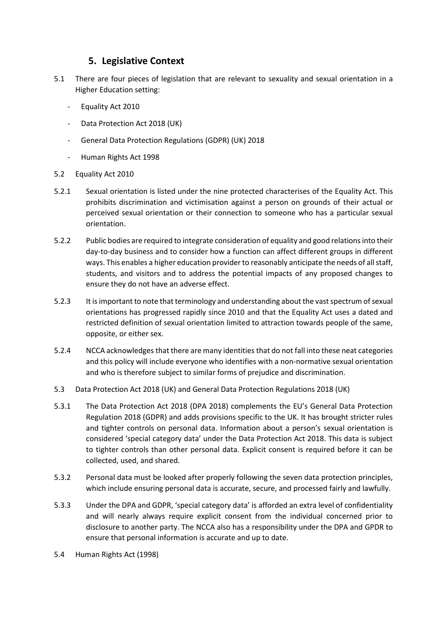#### **5. Legislative Context**

- <span id="page-5-0"></span>5.1 There are four pieces of legislation that are relevant to sexuality and sexual orientation in a Higher Education setting:
	- Equality Act 2010
	- Data Protection Act 2018 (UK)
	- General Data Protection Regulations (GDPR) (UK) 2018
	- Human Rights Act 1998
- 5.2 Equality Act 2010
- 5.2.1 Sexual orientation is listed under the nine protected characterises of the Equality Act. This prohibits discrimination and victimisation against a person on grounds of their actual or perceived sexual orientation or their connection to someone who has a particular sexual orientation.
- 5.2.2 Public bodies are required to integrate consideration of equality and good relations into their day-to-day business and to consider how a function can affect different groups in different ways. This enables a higher education provider to reasonably anticipate the needs of all staff, students, and visitors and to address the potential impacts of any proposed changes to ensure they do not have an adverse effect.
- 5.2.3 It is important to note that terminology and understanding about the vast spectrum of sexual orientations has progressed rapidly since 2010 and that the Equality Act uses a dated and restricted definition of sexual orientation limited to attraction towards people of the same, opposite, or either sex.
- 5.2.4 NCCA acknowledges that there are many identities that do not fall into these neat categories and this policy will include everyone who identifies with a non-normative sexual orientation and who is therefore subject to similar forms of prejudice and discrimination.
- 5.3 Data Protection Act 2018 (UK) and General Data Protection Regulations 2018 (UK)
- 5.3.1 The Data Protection Act 2018 (DPA 2018) complements the EU's General Data Protection Regulation 2018 (GDPR) and adds provisions specific to the UK. It has brought stricter rules and tighter controls on personal data. Information about a person's sexual orientation is considered 'special category data' under the Data Protection Act 2018. This data is subject to tighter controls than other personal data. Explicit consent is required before it can be collected, used, and shared.
- 5.3.2 Personal data must be looked after properly following the seven data protection principles, which include ensuring personal data is accurate, secure, and processed fairly and lawfully.
- 5.3.3 Under the DPA and GDPR, 'special category data' is afforded an extra level of confidentiality and will nearly always require explicit consent from the individual concerned prior to disclosure to another party. The NCCA also has a responsibility under the DPA and GPDR to ensure that personal information is accurate and up to date.
- 5.4 Human Rights Act (1998)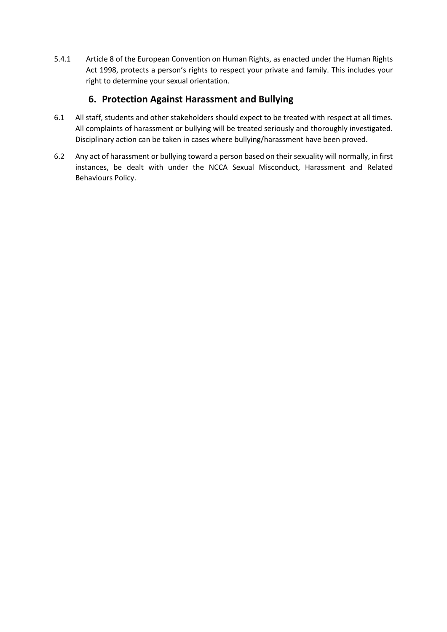5.4.1 Article 8 of the European Convention on Human Rights, as enacted under the Human Rights Act 1998, protects a person's rights to respect your private and family. This includes your right to determine your sexual orientation.

# **6. Protection Against Harassment and Bullying**

- <span id="page-6-0"></span>6.1 All staff, students and other stakeholders should expect to be treated with respect at all times. All complaints of harassment or bullying will be treated seriously and thoroughly investigated. Disciplinary action can be taken in cases where bullying/harassment have been proved.
- 6.2 Any act of harassment or bullying toward a person based on their sexuality will normally, in first instances, be dealt with under the NCCA Sexual Misconduct, Harassment and Related Behaviours Policy.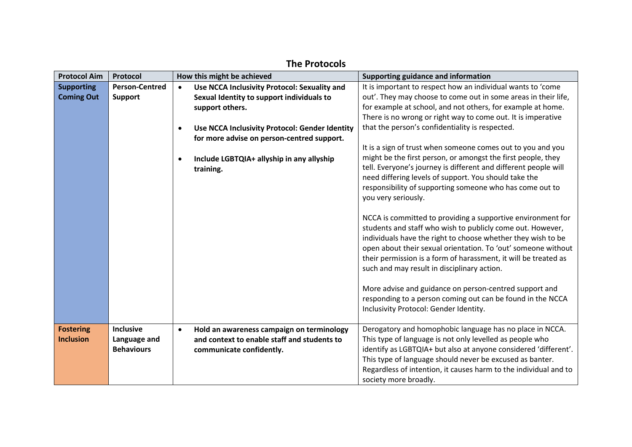<span id="page-7-0"></span>

| <b>Protocol Aim</b> | Protocol              |           | How this might be achieved                     | Supporting guidance and information                                                                            |
|---------------------|-----------------------|-----------|------------------------------------------------|----------------------------------------------------------------------------------------------------------------|
| <b>Supporting</b>   | <b>Person-Centred</b> | $\bullet$ | Use NCCA Inclusivity Protocol: Sexuality and   | It is important to respect how an individual wants to 'come                                                    |
| <b>Coming Out</b>   | <b>Support</b>        |           | Sexual Identity to support individuals to      | out'. They may choose to come out in some areas in their life,                                                 |
|                     |                       |           | support others.                                | for example at school, and not others, for example at home.                                                    |
|                     |                       |           |                                                | There is no wrong or right way to come out. It is imperative                                                   |
|                     |                       |           | Use NCCA Inclusivity Protocol: Gender Identity | that the person's confidentiality is respected.                                                                |
|                     |                       |           | for more advise on person-centred support.     |                                                                                                                |
|                     |                       |           |                                                | It is a sign of trust when someone comes out to you and you                                                    |
|                     |                       |           | Include LGBTQIA+ allyship in any allyship      | might be the first person, or amongst the first people, they                                                   |
|                     |                       |           | training.                                      | tell. Everyone's journey is different and different people will                                                |
|                     |                       |           |                                                | need differing levels of support. You should take the                                                          |
|                     |                       |           |                                                | responsibility of supporting someone who has come out to                                                       |
|                     |                       |           |                                                | you very seriously.                                                                                            |
|                     |                       |           |                                                |                                                                                                                |
|                     |                       |           |                                                | NCCA is committed to providing a supportive environment for                                                    |
|                     |                       |           |                                                | students and staff who wish to publicly come out. However,                                                     |
|                     |                       |           |                                                | individuals have the right to choose whether they wish to be                                                   |
|                     |                       |           |                                                | open about their sexual orientation. To 'out' someone without                                                  |
|                     |                       |           |                                                | their permission is a form of harassment, it will be treated as<br>such and may result in disciplinary action. |
|                     |                       |           |                                                |                                                                                                                |
|                     |                       |           |                                                | More advise and guidance on person-centred support and                                                         |
|                     |                       |           |                                                | responding to a person coming out can be found in the NCCA                                                     |
|                     |                       |           |                                                | Inclusivity Protocol: Gender Identity.                                                                         |
|                     |                       |           |                                                |                                                                                                                |
| <b>Fostering</b>    | <b>Inclusive</b>      | $\bullet$ | Hold an awareness campaign on terminology      | Derogatory and homophobic language has no place in NCCA.                                                       |
| <b>Inclusion</b>    | Language and          |           | and context to enable staff and students to    | This type of language is not only levelled as people who                                                       |
|                     | <b>Behaviours</b>     |           | communicate confidently.                       | identify as LGBTQIA+ but also at anyone considered 'different'.                                                |
|                     |                       |           |                                                | This type of language should never be excused as banter.                                                       |
|                     |                       |           |                                                | Regardless of intention, it causes harm to the individual and to                                               |
|                     |                       |           |                                                | society more broadly.                                                                                          |

# **The Protocols**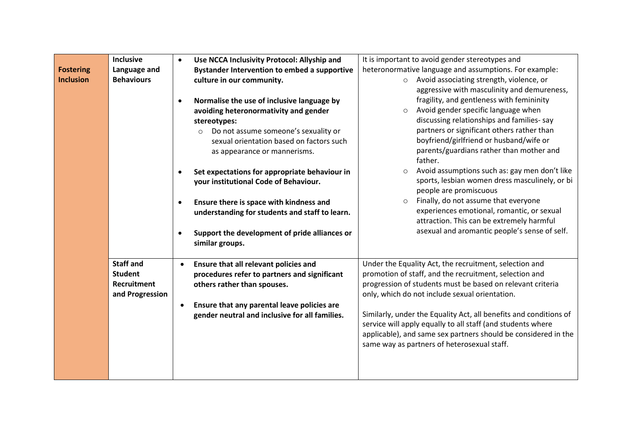|                  | <b>Inclusive</b>   |           | Use NCCA Inclusivity Protocol: Allyship and         | It is important to avoid gender stereotypes and                   |
|------------------|--------------------|-----------|-----------------------------------------------------|-------------------------------------------------------------------|
| <b>Fostering</b> | Language and       |           | <b>Bystander Intervention to embed a supportive</b> | heteronormative language and assumptions. For example:            |
| <b>Inclusion</b> | <b>Behaviours</b>  |           | culture in our community.                           | Avoid associating strength, violence, or<br>$\circ$               |
|                  |                    |           |                                                     | aggressive with masculinity and demureness,                       |
|                  |                    | $\bullet$ | Normalise the use of inclusive language by          | fragility, and gentleness with femininity                         |
|                  |                    |           | avoiding heteronormativity and gender               | Avoid gender specific language when                               |
|                  |                    |           | stereotypes:                                        | discussing relationships and families-say                         |
|                  |                    |           | Do not assume someone's sexuality or<br>$\circ$     | partners or significant others rather than                        |
|                  |                    |           | sexual orientation based on factors such            | boyfriend/girlfriend or husband/wife or                           |
|                  |                    |           | as appearance or mannerisms.                        | parents/guardians rather than mother and                          |
|                  |                    |           |                                                     | father.                                                           |
|                  |                    |           | Set expectations for appropriate behaviour in       | Avoid assumptions such as: gay men don't like<br>$\circ$          |
|                  |                    |           | your institutional Code of Behaviour.               | sports, lesbian women dress masculinely, or bi                    |
|                  |                    |           |                                                     | people are promiscuous                                            |
|                  |                    | $\bullet$ | Ensure there is space with kindness and             | Finally, do not assume that everyone<br>$\circ$                   |
|                  |                    |           | understanding for students and staff to learn.      | experiences emotional, romantic, or sexual                        |
|                  |                    |           |                                                     | attraction. This can be extremely harmful                         |
|                  |                    | $\bullet$ | Support the development of pride alliances or       | asexual and aromantic people's sense of self.                     |
|                  |                    |           | similar groups.                                     |                                                                   |
|                  |                    |           |                                                     |                                                                   |
|                  | <b>Staff and</b>   | $\bullet$ | Ensure that all relevant policies and               | Under the Equality Act, the recruitment, selection and            |
|                  | <b>Student</b>     |           | procedures refer to partners and significant        | promotion of staff, and the recruitment, selection and            |
|                  | <b>Recruitment</b> |           | others rather than spouses.                         | progression of students must be based on relevant criteria        |
|                  | and Progression    |           |                                                     | only, which do not include sexual orientation.                    |
|                  |                    |           | Ensure that any parental leave policies are         |                                                                   |
|                  |                    |           | gender neutral and inclusive for all families.      | Similarly, under the Equality Act, all benefits and conditions of |
|                  |                    |           |                                                     | service will apply equally to all staff (and students where       |
|                  |                    |           |                                                     | applicable), and same sex partners should be considered in the    |
|                  |                    |           |                                                     | same way as partners of heterosexual staff.                       |
|                  |                    |           |                                                     |                                                                   |
|                  |                    |           |                                                     |                                                                   |
|                  |                    |           |                                                     |                                                                   |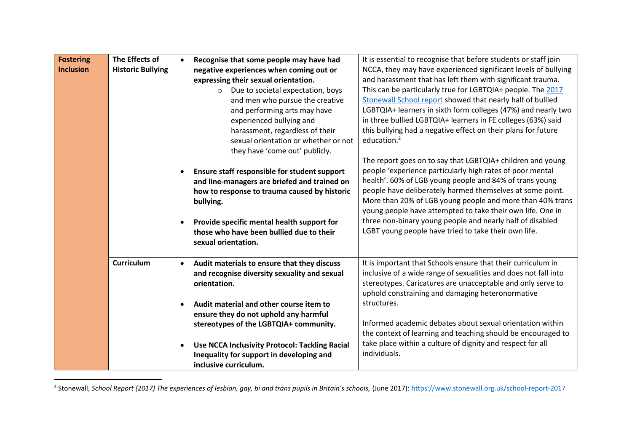| <b>Fostering</b> | The Effects of           |           | Recognise that some people may have had                                                                                                                                                                                                             | It is essential to recognise that before students or staff join                                                                                                                                                                                                                                                                                                                                                                                                                                 |
|------------------|--------------------------|-----------|-----------------------------------------------------------------------------------------------------------------------------------------------------------------------------------------------------------------------------------------------------|-------------------------------------------------------------------------------------------------------------------------------------------------------------------------------------------------------------------------------------------------------------------------------------------------------------------------------------------------------------------------------------------------------------------------------------------------------------------------------------------------|
| <b>Inclusion</b> | <b>Historic Bullying</b> |           | negative experiences when coming out or                                                                                                                                                                                                             | NCCA, they may have experienced significant levels of bullying                                                                                                                                                                                                                                                                                                                                                                                                                                  |
|                  |                          |           | expressing their sexual orientation.                                                                                                                                                                                                                | and harassment that has left them with significant trauma.                                                                                                                                                                                                                                                                                                                                                                                                                                      |
|                  |                          |           | Due to societal expectation, boys<br>$\circ$                                                                                                                                                                                                        | This can be particularly true for LGBTQIA+ people. The 2017                                                                                                                                                                                                                                                                                                                                                                                                                                     |
|                  |                          |           | and men who pursue the creative                                                                                                                                                                                                                     | Stonewall School report showed that nearly half of bullied                                                                                                                                                                                                                                                                                                                                                                                                                                      |
|                  |                          |           | and performing arts may have                                                                                                                                                                                                                        | LGBTQIA+ learners in sixth form colleges (47%) and nearly two                                                                                                                                                                                                                                                                                                                                                                                                                                   |
|                  |                          |           | experienced bullying and                                                                                                                                                                                                                            | in three bullied LGBTQIA+ learners in FE colleges (63%) said                                                                                                                                                                                                                                                                                                                                                                                                                                    |
|                  |                          |           | harassment, regardless of their                                                                                                                                                                                                                     | this bullying had a negative effect on their plans for future                                                                                                                                                                                                                                                                                                                                                                                                                                   |
|                  |                          |           | sexual orientation or whether or not                                                                                                                                                                                                                | education. <sup>2</sup>                                                                                                                                                                                                                                                                                                                                                                                                                                                                         |
|                  |                          |           | they have 'come out' publicly.                                                                                                                                                                                                                      |                                                                                                                                                                                                                                                                                                                                                                                                                                                                                                 |
|                  |                          |           | Ensure staff responsible for student support<br>and line-managers are briefed and trained on<br>how to response to trauma caused by historic<br>bullying.<br>Provide specific mental health support for<br>those who have been bullied due to their | The report goes on to say that LGBTQIA+ children and young<br>people 'experience particularly high rates of poor mental<br>health'. 60% of LGB young people and 84% of trans young<br>people have deliberately harmed themselves at some point.<br>More than 20% of LGB young people and more than 40% trans<br>young people have attempted to take their own life. One in<br>three non-binary young people and nearly half of disabled<br>LGBT young people have tried to take their own life. |
|                  |                          |           | sexual orientation.                                                                                                                                                                                                                                 |                                                                                                                                                                                                                                                                                                                                                                                                                                                                                                 |
|                  | <b>Curriculum</b>        | $\bullet$ | Audit materials to ensure that they discuss                                                                                                                                                                                                         | It is important that Schools ensure that their curriculum in                                                                                                                                                                                                                                                                                                                                                                                                                                    |
|                  |                          |           | and recognise diversity sexuality and sexual<br>orientation.                                                                                                                                                                                        | inclusive of a wide range of sexualities and does not fall into<br>stereotypes. Caricatures are unacceptable and only serve to<br>uphold constraining and damaging heteronormative                                                                                                                                                                                                                                                                                                              |
|                  |                          |           | Audit material and other course item to                                                                                                                                                                                                             | structures.                                                                                                                                                                                                                                                                                                                                                                                                                                                                                     |
|                  |                          |           | ensure they do not uphold any harmful                                                                                                                                                                                                               |                                                                                                                                                                                                                                                                                                                                                                                                                                                                                                 |
|                  |                          |           | stereotypes of the LGBTQIA+ community.                                                                                                                                                                                                              | Informed academic debates about sexual orientation within                                                                                                                                                                                                                                                                                                                                                                                                                                       |
|                  |                          |           |                                                                                                                                                                                                                                                     | the context of learning and teaching should be encouraged to                                                                                                                                                                                                                                                                                                                                                                                                                                    |
|                  |                          |           | <b>Use NCCA Inclusivity Protocol: Tackling Racial</b>                                                                                                                                                                                               | take place within a culture of dignity and respect for all                                                                                                                                                                                                                                                                                                                                                                                                                                      |
|                  |                          |           | Inequality for support in developing and                                                                                                                                                                                                            | individuals.                                                                                                                                                                                                                                                                                                                                                                                                                                                                                    |
|                  |                          |           | inclusive curriculum.                                                                                                                                                                                                                               |                                                                                                                                                                                                                                                                                                                                                                                                                                                                                                 |

2 Stonewall, *School Report (2017) The experiences of lesbian, gay, bi and trans pupils in Britain's schools,* (June 2017): <https://www.stonewall.org.uk/school-report-2017>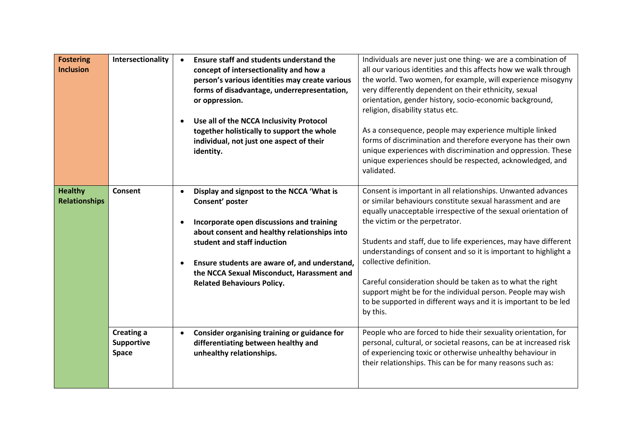| <b>Fostering</b><br><b>Inclusion</b>   | Intersectionality                        | $\bullet$ | Ensure staff and students understand the<br>concept of intersectionality and how a<br>person's various identities may create various<br>forms of disadvantage, underrepresentation,<br>or oppression.<br>Use all of the NCCA Inclusivity Protocol<br>together holistically to support the whole<br>individual, not just one aspect of their | Individuals are never just one thing- we are a combination of<br>all our various identities and this affects how we walk through<br>the world. Two women, for example, will experience misogyny<br>very differently dependent on their ethnicity, sexual<br>orientation, gender history, socio-economic background,<br>religion, disability status etc.<br>As a consequence, people may experience multiple linked<br>forms of discrimination and therefore everyone has their own                                                                                                                         |
|----------------------------------------|------------------------------------------|-----------|---------------------------------------------------------------------------------------------------------------------------------------------------------------------------------------------------------------------------------------------------------------------------------------------------------------------------------------------|------------------------------------------------------------------------------------------------------------------------------------------------------------------------------------------------------------------------------------------------------------------------------------------------------------------------------------------------------------------------------------------------------------------------------------------------------------------------------------------------------------------------------------------------------------------------------------------------------------|
|                                        |                                          |           | identity.                                                                                                                                                                                                                                                                                                                                   | unique experiences with discrimination and oppression. These<br>unique experiences should be respected, acknowledged, and<br>validated.                                                                                                                                                                                                                                                                                                                                                                                                                                                                    |
| <b>Healthy</b><br><b>Relationships</b> | Consent                                  | $\bullet$ | Display and signpost to the NCCA 'What is<br>Consent' poster<br>Incorporate open discussions and training<br>about consent and healthy relationships into<br>student and staff induction<br>Ensure students are aware of, and understand,<br>the NCCA Sexual Misconduct, Harassment and<br><b>Related Behaviours Policy.</b>                | Consent is important in all relationships. Unwanted advances<br>or similar behaviours constitute sexual harassment and are<br>equally unacceptable irrespective of the sexual orientation of<br>the victim or the perpetrator.<br>Students and staff, due to life experiences, may have different<br>understandings of consent and so it is important to highlight a<br>collective definition.<br>Careful consideration should be taken as to what the right<br>support might be for the individual person. People may wish<br>to be supported in different ways and it is important to be led<br>by this. |
|                                        | <b>Creating a</b><br>Supportive<br>Space | $\bullet$ | Consider organising training or guidance for<br>differentiating between healthy and<br>unhealthy relationships.                                                                                                                                                                                                                             | People who are forced to hide their sexuality orientation, for<br>personal, cultural, or societal reasons, can be at increased risk<br>of experiencing toxic or otherwise unhealthy behaviour in<br>their relationships. This can be for many reasons such as:                                                                                                                                                                                                                                                                                                                                             |